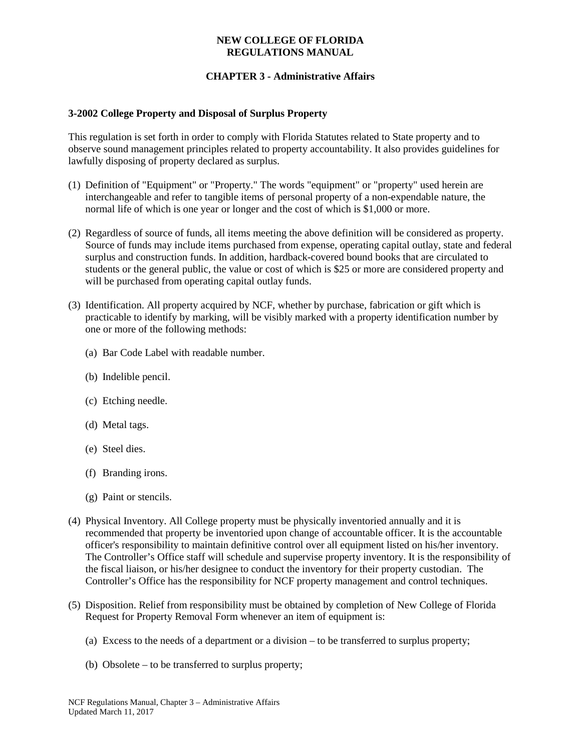### **NEW COLLEGE OF FLORIDA REGULATIONS MANUAL**

# **CHAPTER 3 - Administrative Affairs**

### **3-2002 College Property and Disposal of Surplus Property**

This regulation is set forth in order to comply with Florida Statutes related to State property and to observe sound management principles related to property accountability. It also provides guidelines for lawfully disposing of property declared as surplus.

- (1) Definition of "Equipment" or "Property." The words "equipment" or "property" used herein are interchangeable and refer to tangible items of personal property of a non-expendable nature, the normal life of which is one year or longer and the cost of which is \$1,000 or more.
- (2) Regardless of source of funds, all items meeting the above definition will be considered as property. Source of funds may include items purchased from expense, operating capital outlay, state and federal surplus and construction funds. In addition, hardback-covered bound books that are circulated to students or the general public, the value or cost of which is \$25 or more are considered property and will be purchased from operating capital outlay funds.
- (3) Identification. All property acquired by NCF, whether by purchase, fabrication or gift which is practicable to identify by marking, will be visibly marked with a property identification number by one or more of the following methods:
	- (a) Bar Code Label with readable number.
	- (b) Indelible pencil.
	- (c) Etching needle.
	- (d) Metal tags.
	- (e) Steel dies.
	- (f) Branding irons.
	- (g) Paint or stencils.
- (4) Physical Inventory. All College property must be physically inventoried annually and it is recommended that property be inventoried upon change of accountable officer. It is the accountable officer's responsibility to maintain definitive control over all equipment listed on his/her inventory. The Controller's Office staff will schedule and supervise property inventory. It is the responsibility of the fiscal liaison, or his/her designee to conduct the inventory for their property custodian. The Controller's Office has the responsibility for NCF property management and control techniques.
- (5) Disposition. Relief from responsibility must be obtained by completion of New College of Florida Request for Property Removal Form whenever an item of equipment is:
	- (a) Excess to the needs of a department or a division to be transferred to surplus property;
	- (b) Obsolete to be transferred to surplus property;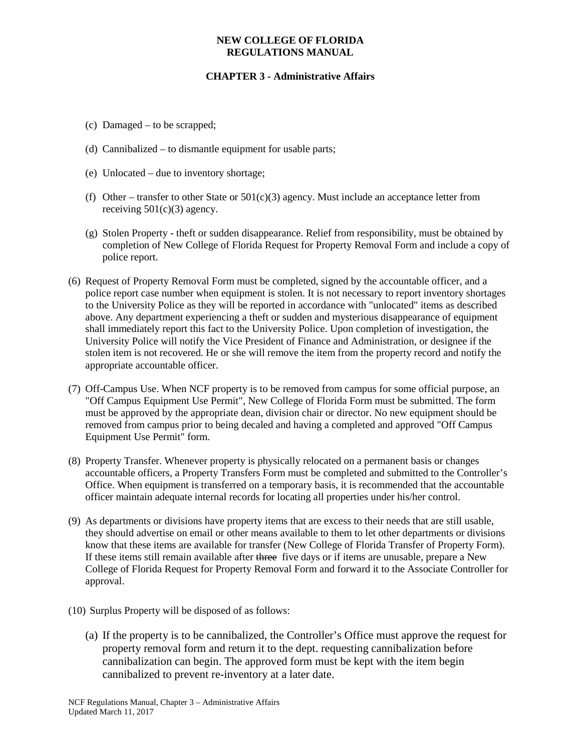### **NEW COLLEGE OF FLORIDA REGULATIONS MANUAL**

# **CHAPTER 3 - Administrative Affairs**

- (c) Damaged to be scrapped;
- (d) Cannibalized to dismantle equipment for usable parts;
- (e) Unlocated due to inventory shortage;
- (f) Other transfer to other State or  $501(c)(3)$  agency. Must include an acceptance letter from receiving  $501(c)(3)$  agency.
- (g) Stolen Property theft or sudden disappearance. Relief from responsibility, must be obtained by completion of New College of Florida Request for Property Removal Form and include a copy of police report.
- (6) Request of Property Removal Form must be completed, signed by the accountable officer, and a police report case number when equipment is stolen. It is not necessary to report inventory shortages to the University Police as they will be reported in accordance with "unlocated" items as described above. Any department experiencing a theft or sudden and mysterious disappearance of equipment shall immediately report this fact to the University Police. Upon completion of investigation, the University Police will notify the Vice President of Finance and Administration, or designee if the stolen item is not recovered. He or she will remove the item from the property record and notify the appropriate accountable officer.
- (7) Off-Campus Use. When NCF property is to be removed from campus for some official purpose, an "Off Campus Equipment Use Permit", New College of Florida Form must be submitted. The form must be approved by the appropriate dean, division chair or director. No new equipment should be removed from campus prior to being decaled and having a completed and approved "Off Campus Equipment Use Permit" form.
- (8) Property Transfer. Whenever property is physically relocated on a permanent basis or changes accountable officers, a Property Transfers Form must be completed and submitted to the Controller's Office. When equipment is transferred on a temporary basis, it is recommended that the accountable officer maintain adequate internal records for locating all properties under his/her control.
- (9) As departments or divisions have property items that are excess to their needs that are still usable, they should advertise on email or other means available to them to let other departments or divisions know that these items are available for transfer (New College of Florida Transfer of Property Form). If these items still remain available after three five days or if items are unusable, prepare a New College of Florida Request for Property Removal Form and forward it to the Associate Controller for approval.
- (10) Surplus Property will be disposed of as follows:
	- (a) If the property is to be cannibalized, the Controller's Office must approve the request for property removal form and return it to the dept. requesting cannibalization before cannibalization can begin. The approved form must be kept with the item begin cannibalized to prevent re-inventory at a later date.